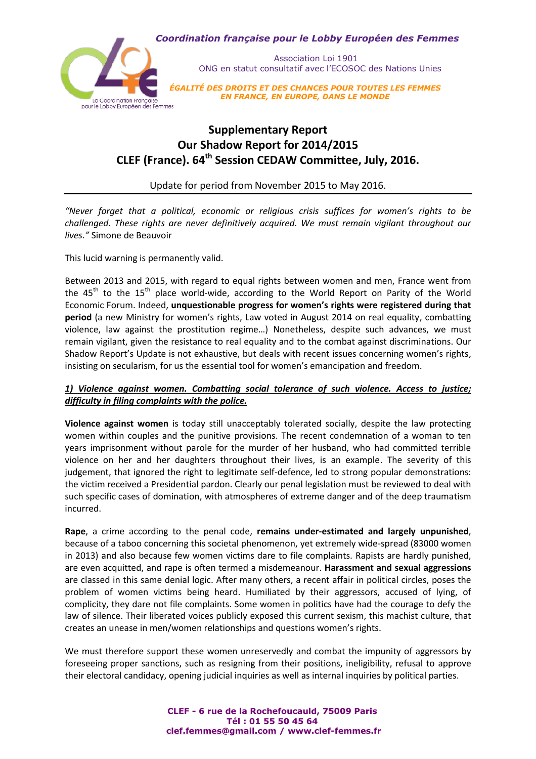

 Association Loi 1901 ONG en statut consultatif avec l'ECOSOC des Nations Unies

*ÉGALITÉ DES DROITS ET DES CHANCES POUR TOUTES LES FEMMES EN FRANCE, EN EUROPE, DANS LE MONDE*

# **Supplementary Report Our Shadow Report for 2014/2015 CLEF (France). 64th Session CEDAW Committee, July, 2016.**

Update for period from November 2015 to May 2016.

*"Never forget that a political, economic or religious crisis suffices for women's rights to be challenged. These rights are never definitively acquired. We must remain vigilant throughout our lives."* Simone de Beauvoir

This lucid warning is permanently valid.

Between 2013 and 2015, with regard to equal rights between women and men, France went from the 45<sup>th</sup> to the 15<sup>th</sup> place world-wide, according to the World Report on Parity of the World Economic Forum. Indeed, **unquestionable progress for women's rights were registered during that period** (a new Ministry for women's rights, Law voted in August 2014 on real equality, combatting violence, law against the prostitution regime…) Nonetheless, despite such advances, we must remain vigilant, given the resistance to real equality and to the combat against discriminations. Our Shadow Report's Update is not exhaustive, but deals with recent issues concerning women's rights, insisting on secularism, for us the essential tool for women's emancipation and freedom.

# *1) Violence against women. Combatting social tolerance of such violence. Access to justice; difficulty in filing complaints with the police.*

**Violence against women** is today still unacceptably tolerated socially, despite the law protecting women within couples and the punitive provisions. The recent condemnation of a woman to ten years imprisonment without parole for the murder of her husband, who had committed terrible violence on her and her daughters throughout their lives, is an example. The severity of this judgement, that ignored the right to legitimate self-defence, led to strong popular demonstrations: the victim received a Presidential pardon. Clearly our penal legislation must be reviewed to deal with such specific cases of domination, with atmospheres of extreme danger and of the deep traumatism incurred.

**Rape**, a crime according to the penal code, **remains under-estimated and largely unpunished**, because of a taboo concerning this societal phenomenon, yet extremely wide-spread (83000 women in 2013) and also because few women victims dare to file complaints. Rapists are hardly punished, are even acquitted, and rape is often termed a misdemeanour. **Harassment and sexual aggressions** are classed in this same denial logic. After many others, a recent affair in political circles, poses the problem of women victims being heard. Humiliated by their aggressors, accused of lying, of complicity, they dare not file complaints. Some women in politics have had the courage to defy the law of silence. Their liberated voices publicly exposed this current sexism, this machist culture, that creates an unease in men/women relationships and questions women's rights.

We must therefore support these women unreservedly and combat the impunity of aggressors by foreseeing proper sanctions, such as resigning from their positions, ineligibility, refusal to approve their electoral candidacy, opening judicial inquiries as well as internal inquiries by political parties.

> **CLEF - 6 rue de la Rochefoucauld, 75009 Paris Tél : 01 55 50 45 64 [clef.femmes@gmail.com](mailto:clef.femmes@gmail.com) / www.clef-femmes.fr**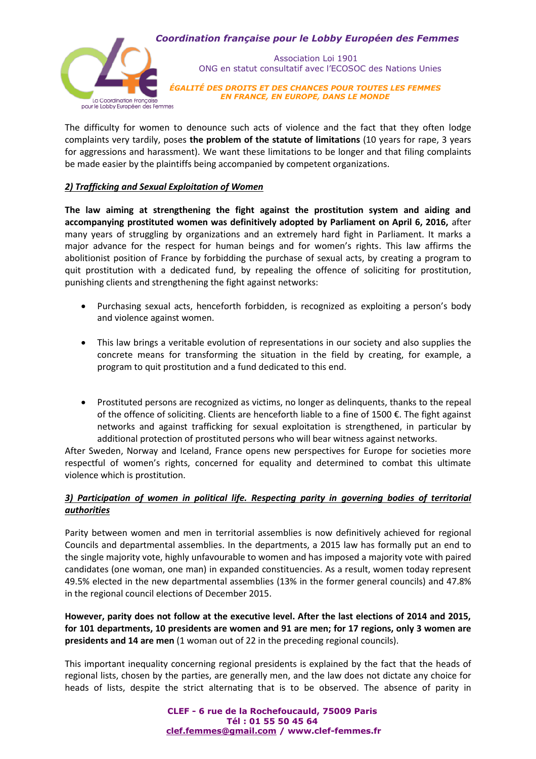## *Coordination française pour le Lobby Européen des Femmes*



 Association Loi 1901 ONG en statut consultatif avec l'ECOSOC des Nations Unies

*ÉGALITÉ DES DROITS ET DES CHANCES POUR TOUTES LES FEMMES EN FRANCE, EN EUROPE, DANS LE MONDE*

The difficulty for women to denounce such acts of violence and the fact that they often lodge complaints very tardily, poses **the problem of the statute of limitations** (10 years for rape, 3 years for aggressions and harassment). We want these limitations to be longer and that filing complaints be made easier by the plaintiffs being accompanied by competent organizations.

# *2) Trafficking and Sexual Exploitation of Women*

**The law aiming at strengthening the fight against the prostitution system and aiding and accompanying prostituted women was definitively adopted by Parliament on April 6, 2016,** after many years of struggling by organizations and an extremely hard fight in Parliament. It marks a major advance for the respect for human beings and for women's rights. This law affirms the abolitionist position of France by forbidding the purchase of sexual acts, by creating a program to quit prostitution with a dedicated fund, by repealing the offence of soliciting for prostitution, punishing clients and strengthening the fight against networks:

- Purchasing sexual acts, henceforth forbidden, is recognized as exploiting a person's body and violence against women.
- This law brings a veritable evolution of representations in our society and also supplies the concrete means for transforming the situation in the field by creating, for example, a program to quit prostitution and a fund dedicated to this end.
- Prostituted persons are recognized as victims, no longer as delinquents, thanks to the repeal of the offence of soliciting. Clients are henceforth liable to a fine of 1500 €. The fight against networks and against trafficking for sexual exploitation is strengthened, in particular by additional protection of prostituted persons who will bear witness against networks.

After Sweden, Norway and Iceland, France opens new perspectives for Europe for societies more respectful of women's rights, concerned for equality and determined to combat this ultimate violence which is prostitution.

# *3) Participation of women in political life. Respecting parity in governing bodies of territorial authorities*

Parity between women and men in territorial assemblies is now definitively achieved for regional Councils and departmental assemblies. In the departments, a 2015 law has formally put an end to the single majority vote, highly unfavourable to women and has imposed a majority vote with paired candidates (one woman, one man) in expanded constituencies. As a result, women today represent 49.5% elected in the new departmental assemblies (13% in the former general councils) and 47.8% in the regional council elections of December 2015.

**However, parity does not follow at the executive level. After the last elections of 2014 and 2015, for 101 departments, 10 presidents are women and 91 are men; for 17 regions, only 3 women are presidents and 14 are men** (1 woman out of 22 in the preceding regional councils).

This important inequality concerning regional presidents is explained by the fact that the heads of regional lists, chosen by the parties, are generally men, and the law does not dictate any choice for heads of lists, despite the strict alternating that is to be observed. The absence of parity in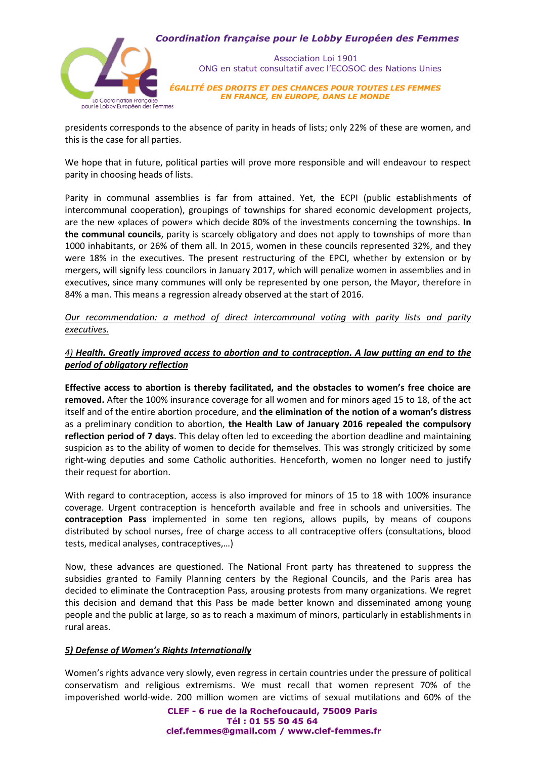## *Coordination française pour le Lobby Européen des Femmes*



 Association Loi 1901 ONG en statut consultatif avec l'ECOSOC des Nations Unies

*ÉGALITÉ DES DROITS ET DES CHANCES POUR TOUTES LES FEMMES EN FRANCE, EN EUROPE, DANS LE MONDE*

presidents corresponds to the absence of parity in heads of lists; only 22% of these are women, and this is the case for all parties.

We hope that in future, political parties will prove more responsible and will endeavour to respect parity in choosing heads of lists.

Parity in communal assemblies is far from attained. Yet, the ECPI (public establishments of intercommunal cooperation), groupings of townships for shared economic development projects, are the new «places of power» which decide 80% of the investments concerning the townships. **In the communal councils**, parity is scarcely obligatory and does not apply to townships of more than 1000 inhabitants, or 26% of them all. In 2015, women in these councils represented 32%, and they were 18% in the executives. The present restructuring of the EPCI, whether by extension or by mergers, will signify less councilors in January 2017, which will penalize women in assemblies and in executives, since many communes will only be represented by one person, the Mayor, therefore in 84% a man. This means a regression already observed at the start of 2016.

*Our recommendation: a method of direct intercommunal voting with parity lists and parity executives.*

# *4) Health. Greatly improved access to abortion and to contraception. A law putting an end to the period of obligatory reflection*

**Effective access to abortion is thereby facilitated, and the obstacles to women's free choice are removed.** After the 100% insurance coverage for all women and for minors aged 15 to 18, of the act itself and of the entire abortion procedure, and **the elimination of the notion of a woman's distress** as a preliminary condition to abortion, **the Health Law of January 2016 repealed the compulsory reflection period of 7 days**. This delay often led to exceeding the abortion deadline and maintaining suspicion as to the ability of women to decide for themselves. This was strongly criticized by some right-wing deputies and some Catholic authorities. Henceforth, women no longer need to justify their request for abortion.

With regard to contraception, access is also improved for minors of 15 to 18 with 100% insurance coverage. Urgent contraception is henceforth available and free in schools and universities. The **contraception Pass** implemented in some ten regions, allows pupils, by means of coupons distributed by school nurses, free of charge access to all contraceptive offers (consultations, blood tests, medical analyses, contraceptives,…)

Now, these advances are questioned. The National Front party has threatened to suppress the subsidies granted to Family Planning centers by the Regional Councils, and the Paris area has decided to eliminate the Contraception Pass, arousing protests from many organizations. We regret this decision and demand that this Pass be made better known and disseminated among young people and the public at large, so as to reach a maximum of minors, particularly in establishments in rural areas.

## *5) Defense of Women's Rights Internationally*

Women's rights advance very slowly, even regress in certain countries under the pressure of political conservatism and religious extremisms. We must recall that women represent 70% of the impoverished world-wide. 200 million women are victims of sexual mutilations and 60% of the

> **CLEF - 6 rue de la Rochefoucauld, 75009 Paris Tél : 01 55 50 45 64 [clef.femmes@gmail.com](mailto:clef.femmes@gmail.com) / www.clef-femmes.fr**